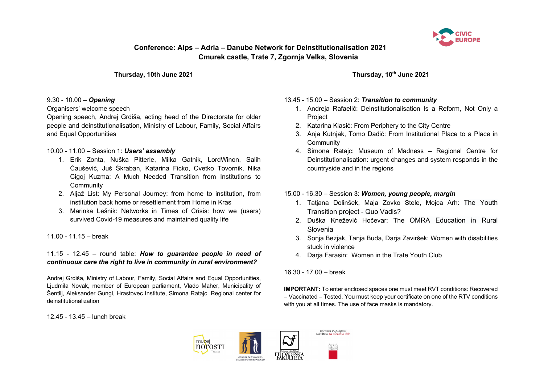

**Thursday, 10th June 2021**

#### 9.30 - 10.00 – *Opening*

Organisers' welcome speech

Opening speech, Andrej Grdiša, acting head of the Directorate for older people and deinstitutionalisation, Ministry of Labour, Family, Social Affairs and Equal Opportunities

## 10.00 - 11.00 – Session 1: *Users' assembly*

- 1. Erik Zonta, Nuška Pitterle, Milka Gatnik, LordWinon, Salih Čaušević, Juš Škraban, Katarina Ficko, Cvetko Tovornik, Nika Cigoj Kuzma: A Much Needed Transition from Institutions to **Community**
- 2. Aljaž List: My Personal Journey: from home to institution, from institution back home or resettlement from Home in Kras
- 3. Marinka Lešnik: Networks in Times of Crisis: how we (users) survived Covid-19 measures and maintained quality life

# 11.00 - 11.15 – break

11.15 - 12.45 – round table: *How to guarantee people in need of continuous care the right to live in community in rural environment?*

Andrej Grdiša, Ministry of Labour, Family, Social Affairs and Equal Opportunities, Ljudmila Novak, member of European parliament, Vlado Maher, Municipality of Šentilj, Aleksander Gungl, Hrastovec Institute, Simona Ratajc, Regional center for deinstitutionalization

12.45 - 13.45 – lunch break

**Thursday, 10th June 2021**

## 13.45 - 15.00 – Session 2: *Transition to community*

- 1. Andreja Rafaelič: Deinstitutionalisation Is a Reform, Not Only a Project
- 2. Katarina Klasić: From Periphery to the City Centre
- 3. Anja Kutnjak, Tomo Dadić: From Institutional Place to a Place in **Community**
- 4. Simona Ratajc: Museum of Madness Regional Centre for Deinstitutionalisation: urgent changes and system responds in the countryside and in the regions

# 15.00 - 16.30 – Session 3: *Women, young people, margin*

- 1. Tatjana Dolinšek, Maja Zovko Stele, Mojca Arh: The Youth Transition project - Quo Vadis?
- 2. Duška Kneževič Hočevar: The OMRA Education in Rural Slovenia
- 3. Sonja Bezjak, Tanja Buda, Darja Zaviršek: Women with disabilities stuck in violence
- 4. Darja Farasin: Women in the Trate Youth Club

# 16.30 - 17.00 – break

**IMPORTANT:** To enter enclosed spaces one must meet RVT conditions: Recovered – Vaccinated – Tested. You must keep your certificate on one of the RTV conditions with you at all times. The use of face masks is mandatory.





Univerza v Ljubljani<br>Fakulteta za socialno o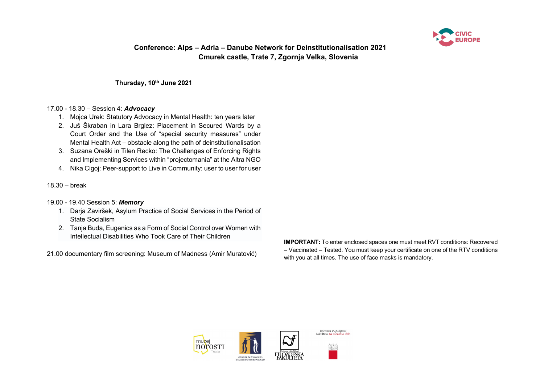

**Thursday, 10th June 2021**

#### 17.00 - 18.30 – Session 4: *Advocacy*

- 1. Mojca Urek: Statutory Advocacy in Mental Health: ten years later
- 2. Juš Škraban in Lara Brglez: Placement in Secured Wards by a Court Order and the Use of "special security measures" under Mental Health Act – obstacle along the path of deinstitutionalisation
- 3. Suzana Oreški in Tilen Recko: The Challenges of Enforcing Rights and Implementing Services within "projectomania" at the Altra NGO
- 4. Nika Cigoj: Peer-support to Live in Community: user to user for user
- 18.30 break

#### 19.00 - 19.40 Session 5: *Memory*

- 1. Darja Zaviršek, Asylum Practice of Social Services in the Period of State Socialism
- 2. Tanja Buda, Eugenics as a Form of Social Control over Women with Intellectual Disabilities Who Took Care of Their Children

21.00 documentary film screening: Museum of Madness (Amir Muratović)

**IMPORTANT:** To enter enclosed spaces one must meet RVT conditions: Recovered – Vaccinated – Tested. You must keep your certificate on one of the RTV conditions with you at all times. The use of face masks is mandatory.

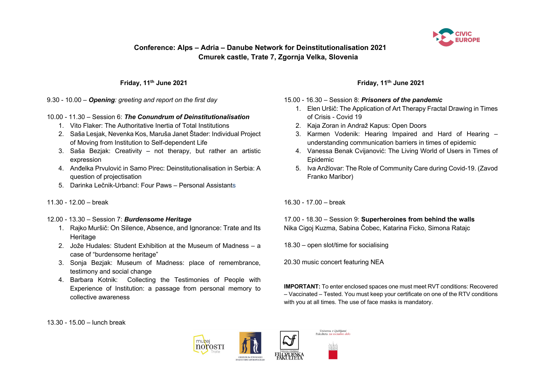

### **Friday, 11th June 2021**

9.30 - 10.00 – *Opening: greeting and report on the first day*

## 10.00 - 11.30 – Session 6: *The Conundrum of Deinstitutionalisation*

- 1. Vito Flaker: The Authoritative Inertia of Total Institutions
- 2. Saša Lesjak, Nevenka Kos, Maruša Janet Štader: Individual Project of Moving from Institution to Self-dependent Life
- 3. Saša Bezjak: Creativity not therapy, but rather an artistic expression
- 4. Anđelka Prvulović in Samo Pirec: Deinstitutionalisation in Serbia: A question of projectisation
- 5. Darinka Lečnik-Urbancl: Four Paws Personal Assistants

### 11.30 - 12.00 – break

- 12.00 13.30 Session 7: *Burdensome Heritage*
	- 1. Rajko Muršič: On Silence, Absence, and Ignorance: Trate and Its **Heritage**
	- 2. Jože Hudales: Student Exhibition at the Museum of Madness a case of "burdensome heritage"
	- 3. Sonja Bezjak: Museum of Madness: place of remembrance, testimony and social change
	- 4. Barbara Kotnik: Collecting the Testimonies of People with Experience of Institution: a passage from personal memory to collective awareness

# **Friday, 11th June 2021**

### 15.00 - 16.30 – Session 8: *Prisoners of the pandemic*

- 1. Elen Uršič: The Application of Art Therapy Fractal Drawing in Times of Crisis - Covid 19
- 2. Kaja Zoran in Andraž Kapus: Open Doors
- 3. Karmen Vodenik: Hearing Impaired and Hard of Hearing understanding communication barriers in times of epidemic
- 4. Vanessa Benak Cvijanović: The Living World of Users in Times of Epidemic
- 5. Iva Anžlovar: The Role of Community Care during Covid-19. (Zavod Franko Maribor)

16.30 - 17.00 – break

17.00 - 18.30 – Session 9: **Superheroines from behind the walls** Nika Cigoj Kuzma, Sabina Čobec, Katarina Ficko, Simona Ratajc

18.30 – open slot/time for socialising

20.30 music concert featuring NEA

**IMPORTANT:** To enter enclosed spaces one must meet RVT conditions: Recovered – Vaccinated – Tested. You must keep your certificate on one of the RTV conditions with you at all times. The use of face masks is mandatory.

13.30 - 15.00 – lunch break





Univerza v Ljubljani<br>Fakulteta za socialno d